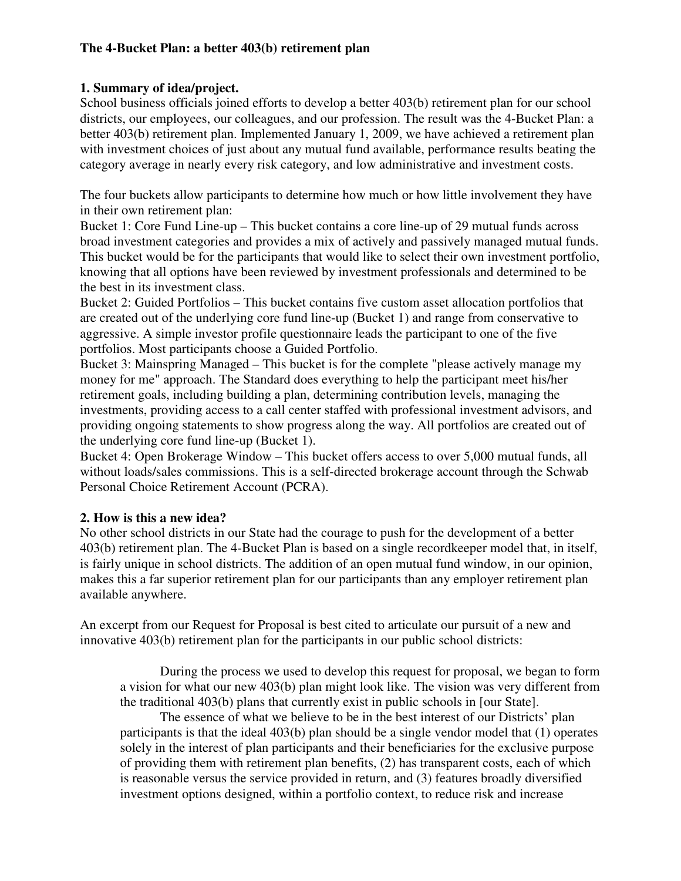## **The 4-Bucket Plan: a better 403(b) retirement plan**

## **1. Summary of idea/project.**

School business officials joined efforts to develop a better 403(b) retirement plan for our school districts, our employees, our colleagues, and our profession. The result was the 4-Bucket Plan: a better 403(b) retirement plan. Implemented January 1, 2009, we have achieved a retirement plan with investment choices of just about any mutual fund available, performance results beating the category average in nearly every risk category, and low administrative and investment costs.

The four buckets allow participants to determine how much or how little involvement they have in their own retirement plan:

Bucket 1: Core Fund Line-up – This bucket contains a core line-up of 29 mutual funds across broad investment categories and provides a mix of actively and passively managed mutual funds. This bucket would be for the participants that would like to select their own investment portfolio, knowing that all options have been reviewed by investment professionals and determined to be the best in its investment class.

Bucket 2: Guided Portfolios – This bucket contains five custom asset allocation portfolios that are created out of the underlying core fund line-up (Bucket 1) and range from conservative to aggressive. A simple investor profile questionnaire leads the participant to one of the five portfolios. Most participants choose a Guided Portfolio.

Bucket 3: Mainspring Managed – This bucket is for the complete "please actively manage my money for me" approach. The Standard does everything to help the participant meet his/her retirement goals, including building a plan, determining contribution levels, managing the investments, providing access to a call center staffed with professional investment advisors, and providing ongoing statements to show progress along the way. All portfolios are created out of the underlying core fund line-up (Bucket 1).

Bucket 4: Open Brokerage Window – This bucket offers access to over 5,000 mutual funds, all without loads/sales commissions. This is a self-directed brokerage account through the Schwab Personal Choice Retirement Account (PCRA).

## **2. How is this a new idea?**

No other school districts in our State had the courage to push for the development of a better 403(b) retirement plan. The 4-Bucket Plan is based on a single recordkeeper model that, in itself, is fairly unique in school districts. The addition of an open mutual fund window, in our opinion, makes this a far superior retirement plan for our participants than any employer retirement plan available anywhere.

An excerpt from our Request for Proposal is best cited to articulate our pursuit of a new and innovative 403(b) retirement plan for the participants in our public school districts:

During the process we used to develop this request for proposal, we began to form a vision for what our new 403(b) plan might look like. The vision was very different from the traditional 403(b) plans that currently exist in public schools in [our State].

 The essence of what we believe to be in the best interest of our Districts' plan participants is that the ideal 403(b) plan should be a single vendor model that (1) operates solely in the interest of plan participants and their beneficiaries for the exclusive purpose of providing them with retirement plan benefits, (2) has transparent costs, each of which is reasonable versus the service provided in return, and (3) features broadly diversified investment options designed, within a portfolio context, to reduce risk and increase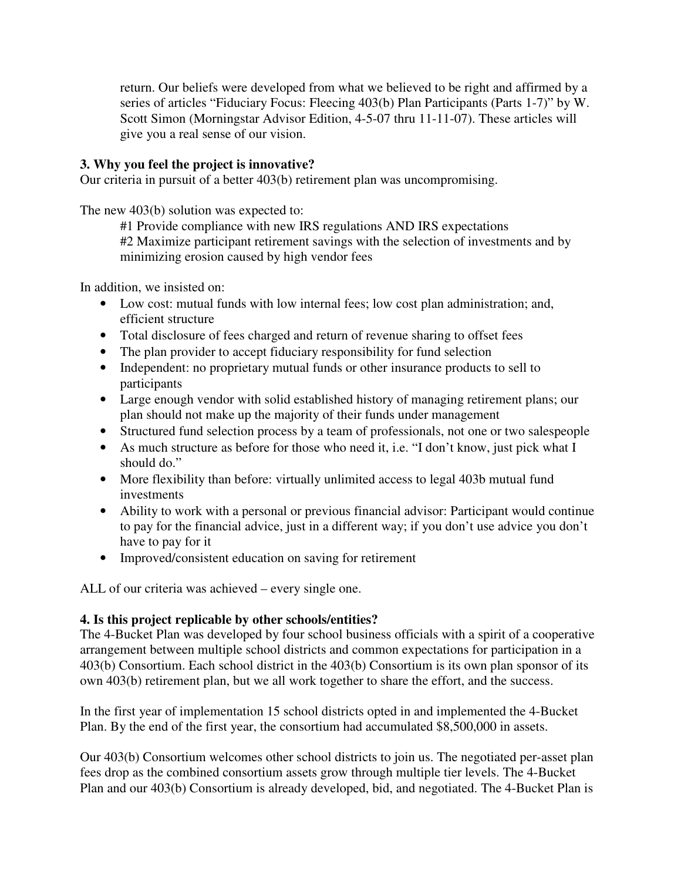return. Our beliefs were developed from what we believed to be right and affirmed by a series of articles "Fiduciary Focus: Fleecing 403(b) Plan Participants (Parts 1-7)" by W. Scott Simon (Morningstar Advisor Edition, 4-5-07 thru 11-11-07). These articles will give you a real sense of our vision.

## **3. Why you feel the project is innovative?**

Our criteria in pursuit of a better 403(b) retirement plan was uncompromising.

The new 403(b) solution was expected to:

#1 Provide compliance with new IRS regulations AND IRS expectations #2 Maximize participant retirement savings with the selection of investments and by minimizing erosion caused by high vendor fees

In addition, we insisted on:

- Low cost: mutual funds with low internal fees; low cost plan administration; and, efficient structure
- Total disclosure of fees charged and return of revenue sharing to offset fees
- The plan provider to accept fiduciary responsibility for fund selection
- Independent: no proprietary mutual funds or other insurance products to sell to participants
- Large enough vendor with solid established history of managing retirement plans; our plan should not make up the majority of their funds under management
- Structured fund selection process by a team of professionals, not one or two salespeople
- As much structure as before for those who need it, i.e. "I don't know, just pick what I should do."
- More flexibility than before: virtually unlimited access to legal 403b mutual fund investments
- Ability to work with a personal or previous financial advisor: Participant would continue to pay for the financial advice, just in a different way; if you don't use advice you don't have to pay for it
- Improved/consistent education on saving for retirement

ALL of our criteria was achieved – every single one.

## **4. Is this project replicable by other schools/entities?**

The 4-Bucket Plan was developed by four school business officials with a spirit of a cooperative arrangement between multiple school districts and common expectations for participation in a 403(b) Consortium. Each school district in the 403(b) Consortium is its own plan sponsor of its own 403(b) retirement plan, but we all work together to share the effort, and the success.

In the first year of implementation 15 school districts opted in and implemented the 4-Bucket Plan. By the end of the first year, the consortium had accumulated \$8,500,000 in assets.

Our 403(b) Consortium welcomes other school districts to join us. The negotiated per-asset plan fees drop as the combined consortium assets grow through multiple tier levels. The 4-Bucket Plan and our 403(b) Consortium is already developed, bid, and negotiated. The 4-Bucket Plan is